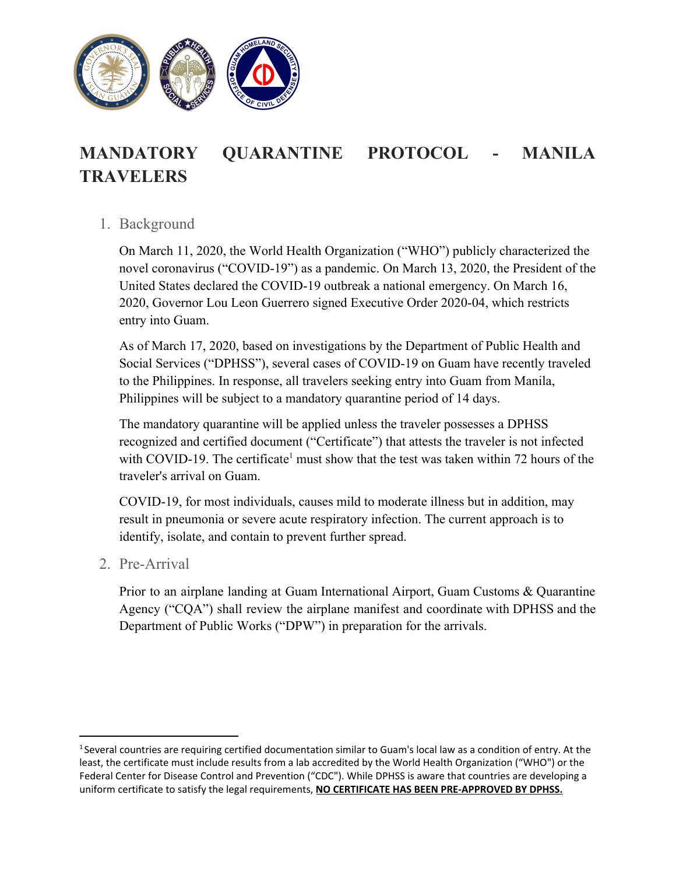

## **MANDATORY QUARANTINE PROTOCOL - MANILA TRAVELERS**

## 1. Background

On March 11, 2020, the World Health Organization ("WHO") publicly characterized the novel coronavirus ("COVID-19") as a pandemic. On March 13, 2020, the President of the United States declared the COVID-19 outbreak a national emergency. On March 16, 2020, Governor Lou Leon Guerrero signed Executive Order 2020-04, which restricts entry into Guam.

As of March 17, 2020, based on investigations by the Department of Public Health and Social Services ("DPHSS"), several cases of COVID-19 on Guam have recently traveled to the Philippines. In response, all travelers seeking entry into Guam from Manila, Philippines will be subject to a mandatory quarantine period of 14 days.

The mandatory quarantine will be applied unless the traveler possesses a DPHSS recognized and certified document ("Certificate") that attests the traveler is not infected with COVID-19. The certificate<sup>1</sup> must show that the test was taken within 72 hours of the traveler's arrival on Guam.

COVID-19, for most individuals, causes mild to moderate illness but in addition, may result in pneumonia or severe acute respiratory infection. The current approach is to identify, isolate, and contain to prevent further spread.

2. Pre-Arrival

Prior to an airplane landing at Guam International Airport, Guam Customs & Quarantine Agency ("CQA") shall review the airplane manifest and coordinate with DPHSS and the Department of Public Works ("DPW") in preparation for the arrivals.

<sup>&</sup>lt;sup>1</sup> Several countries are requiring certified documentation similar to Guam's local law as a condition of entry. At the least, the certificate must include results from a lab accredited by the World Health Organization ("WHO") or the Federal Center for Disease Control and Prevention ("CDC"). While DPHSS is aware that countries are developing a uniform certificate to satisfy the legal requirements, **NO CERTIFICATE HAS BEEN PRE-APPROVED BY DPHSS.**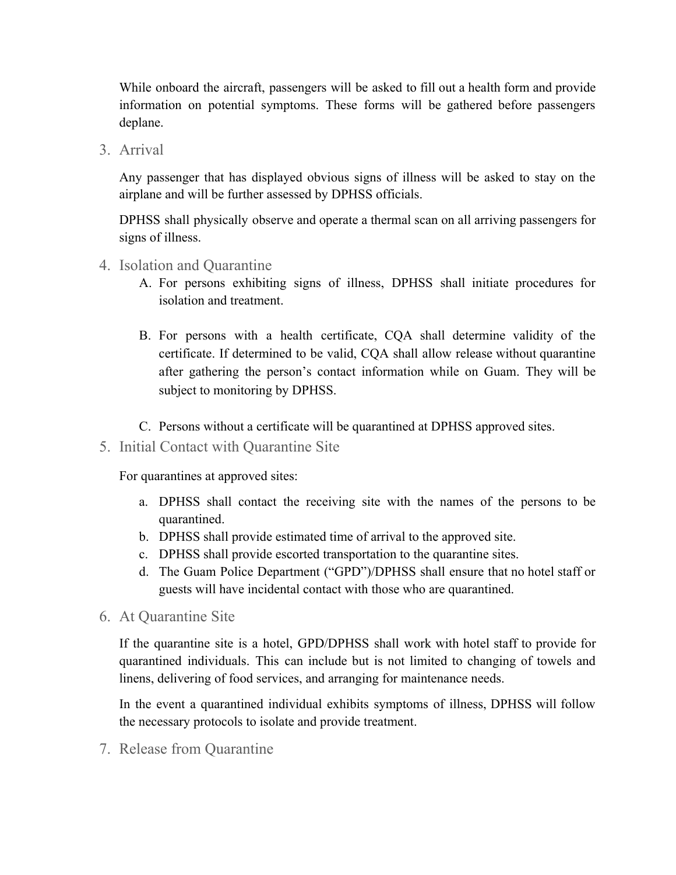While onboard the aircraft, passengers will be asked to fill out a health form and provide information on potential symptoms. These forms will be gathered before passengers deplane.

3. Arrival

Any passenger that has displayed obvious signs of illness will be asked to stay on the airplane and will be further assessed by DPHSS officials.

DPHSS shall physically observe and operate a thermal scan on all arriving passengers for signs of illness.

- 4. Isolation and Quarantine
	- A. For persons exhibiting signs of illness, DPHSS shall initiate procedures for isolation and treatment.
	- B. For persons with a health certificate, CQA shall determine validity of the certificate. If determined to be valid, CQA shall allow release without quarantine after gathering the person's contact information while on Guam. They will be subject to monitoring by DPHSS.
	- C. Persons without a certificate will be quarantined at DPHSS approved sites.
- 5. Initial Contact with Quarantine Site

For quarantines at approved sites:

- a. DPHSS shall contact the receiving site with the names of the persons to be quarantined.
- b. DPHSS shall provide estimated time of arrival to the approved site.
- c. DPHSS shall provide escorted transportation to the quarantine sites.
- d. The Guam Police Department ("GPD")/DPHSS shall ensure that no hotel staff or guests will have incidental contact with those who are quarantined.
- 6. At Quarantine Site

If the quarantine site is a hotel, GPD/DPHSS shall work with hotel staff to provide for quarantined individuals. This can include but is not limited to changing of towels and linens, delivering of food services, and arranging for maintenance needs.

In the event a quarantined individual exhibits symptoms of illness, DPHSS will follow the necessary protocols to isolate and provide treatment.

7. Release from Quarantine